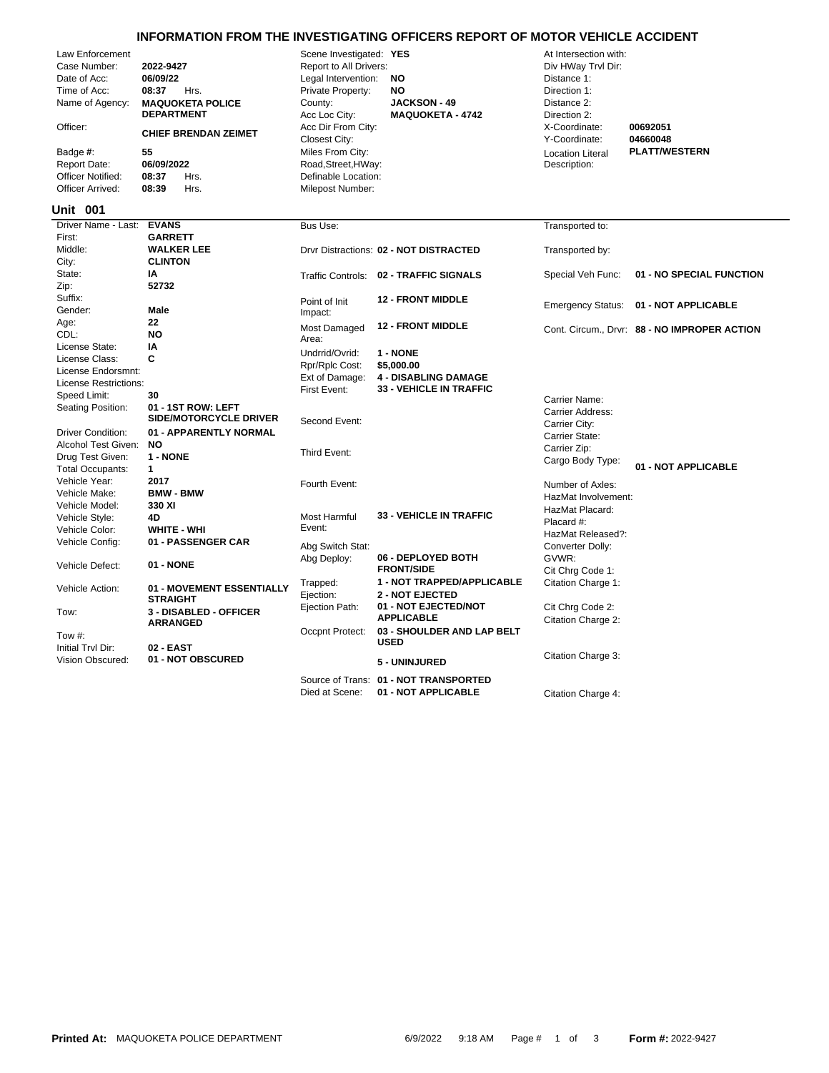|                                                                                                                                                                                                                                                                                                                                                           | INFORMATION FROM THE INVESTIGATING OFFICERS REPORT OF MOTOR VEHICLE ACCIDENT |                                                                                                                                                                                                                                                                                                                                    |                                                                                         |                                                                                                                                                                                        |                                              |
|-----------------------------------------------------------------------------------------------------------------------------------------------------------------------------------------------------------------------------------------------------------------------------------------------------------------------------------------------------------|------------------------------------------------------------------------------|------------------------------------------------------------------------------------------------------------------------------------------------------------------------------------------------------------------------------------------------------------------------------------------------------------------------------------|-----------------------------------------------------------------------------------------|----------------------------------------------------------------------------------------------------------------------------------------------------------------------------------------|----------------------------------------------|
| Law Enforcement<br>Case Number:<br>2022-9427<br>Date of Acc:<br>06/09/22<br>Time of Acc:<br>08:37<br>Hrs.<br>Name of Agency:<br><b>MAQUOKETA POLICE</b><br><b>DEPARTMENT</b><br>Officer:<br><b>CHIEF BRENDAN ZEIMET</b><br>Badge #:<br>55<br>06/09/2022<br>Report Date:<br>08:37<br><b>Officer Notified:</b><br>Hrs.<br>Officer Arrived:<br>08:39<br>Hrs. |                                                                              | Scene Investigated: YES<br>Report to All Drivers:<br>Legal Intervention:<br><b>NO</b><br>Private Property:<br><b>NO</b><br><b>JACKSON - 49</b><br>County:<br>Acc Loc City:<br><b>MAQUOKETA - 4742</b><br>Acc Dir From City:<br>Closest City:<br>Miles From City:<br>Road, Street, HWay:<br>Definable Location:<br>Milepost Number: |                                                                                         | At Intersection with:<br>Div HWay Trvl Dir:<br>Distance 1:<br>Direction 1:<br>Distance 2:<br>Direction 2:<br>X-Coordinate:<br>Y-Coordinate:<br><b>Location Literal</b><br>Description: | 00692051<br>04660048<br><b>PLATT/WESTERN</b> |
| <b>Unit 001</b>                                                                                                                                                                                                                                                                                                                                           |                                                                              |                                                                                                                                                                                                                                                                                                                                    |                                                                                         |                                                                                                                                                                                        |                                              |
| Driver Name - Last:                                                                                                                                                                                                                                                                                                                                       | <b>EVANS</b>                                                                 | Bus Use:                                                                                                                                                                                                                                                                                                                           |                                                                                         | Transported to:                                                                                                                                                                        |                                              |
| First:<br>Middle:<br>City:                                                                                                                                                                                                                                                                                                                                | <b>GARRETT</b><br><b>WALKER LEE</b><br><b>CLINTON</b>                        |                                                                                                                                                                                                                                                                                                                                    | Drvr Distractions: 02 - NOT DISTRACTED                                                  | Transported by:                                                                                                                                                                        |                                              |
| State:<br>Zip:                                                                                                                                                                                                                                                                                                                                            | ΙA<br>52732                                                                  |                                                                                                                                                                                                                                                                                                                                    | Traffic Controls: 02 - TRAFFIC SIGNALS                                                  | Special Veh Func:                                                                                                                                                                      | 01 - NO SPECIAL FUNG                         |
| Suffix:<br>Gender:                                                                                                                                                                                                                                                                                                                                        | Male                                                                         | Point of Init<br>Impact:                                                                                                                                                                                                                                                                                                           | <b>12 - FRONT MIDDLE</b>                                                                |                                                                                                                                                                                        | Emergency Status: 01 - NOT APPLICABLE        |
| Age:<br>CDL:<br>License State:                                                                                                                                                                                                                                                                                                                            | 22<br><b>NO</b><br>ΙA                                                        | Most Damaged<br>Area:                                                                                                                                                                                                                                                                                                              | <b>12 - FRONT MIDDLE</b>                                                                |                                                                                                                                                                                        | Cont. Circum., Drvr: 88 - NO IMPROPER AC     |
| License Class:<br>License Endorsmnt:<br>License Restrictions:<br>Speed Limit:<br>Seating Position:                                                                                                                                                                                                                                                        | C<br>30<br>01 - 1ST ROW: LEFT                                                | Undrrid/Ovrid:<br>Rpr/Rplc Cost:<br>Ext of Damage:<br>First Event:                                                                                                                                                                                                                                                                 | 1 - NONE<br>\$5,000.00<br><b>4 - DISABLING DAMAGE</b><br><b>33 - VEHICLE IN TRAFFIC</b> | Carrier Name:                                                                                                                                                                          |                                              |
| <b>Driver Condition:</b>                                                                                                                                                                                                                                                                                                                                  | <b>SIDE/MOTORCYCLE DRIVER</b><br>01 - APPARENTLY NORMAL                      | Second Event:                                                                                                                                                                                                                                                                                                                      |                                                                                         | Carrier Address:<br>Carrier City:                                                                                                                                                      |                                              |
| Alcohol Test Given: NO<br>Drug Test Given:<br><b>Total Occupants:</b>                                                                                                                                                                                                                                                                                     | 1 - NONE<br>1                                                                | Third Event:                                                                                                                                                                                                                                                                                                                       |                                                                                         | Carrier State:<br>Carrier Zip:<br>Cargo Body Type:                                                                                                                                     | 01 - NOT APPLICABLE                          |
| Vehicle Year:<br>Vehicle Make:<br>Vehicle Model:                                                                                                                                                                                                                                                                                                          | 2017<br><b>BMW - BMW</b><br>330 XI                                           | Fourth Event:                                                                                                                                                                                                                                                                                                                      |                                                                                         | Number of Axles:<br>HazMat Involvement:                                                                                                                                                |                                              |
| Vehicle Style:<br>Vehicle Color:                                                                                                                                                                                                                                                                                                                          | 4D<br><b>WHITE - WHI</b>                                                     | Most Harmful<br>Event:                                                                                                                                                                                                                                                                                                             | <b>33 - VEHICLE IN TRAFFIC</b>                                                          | HazMat Placard:<br>Placard #:<br>HazMat Released?:                                                                                                                                     |                                              |
| Vehicle Config:<br>Vehicle Defect:                                                                                                                                                                                                                                                                                                                        | 01 - PASSENGER CAR<br><b>01 - NONE</b>                                       | Abg Switch Stat:<br>Abg Deploy:                                                                                                                                                                                                                                                                                                    | 06 - DEPLOYED BOTH<br><b>FRONT/SIDE</b>                                                 | Converter Dolly:<br>GVWR:<br>Cit Chrg Code 1:                                                                                                                                          |                                              |

**NO IMPROPER ACTION NO SPECIAL FUNCTION** 

| Speed Limit:             | 30                                                  | FIISLEVENT.      | 33 - VENIULE IN TRAFFIU               | Carrier Name:       |                     |
|--------------------------|-----------------------------------------------------|------------------|---------------------------------------|---------------------|---------------------|
| Seating Position:        | 01 - 1ST ROW: LEFT<br><b>SIDE/MOTORCYCLE DRIVER</b> |                  |                                       | Carrier Address:    |                     |
|                          |                                                     | Second Event:    |                                       | Carrier City:       |                     |
| <b>Driver Condition:</b> | 01 - APPARENTLY NORMAL                              |                  |                                       | Carrier State:      |                     |
| Alcohol Test Given:      | NO.                                                 | Third Event:     |                                       | Carrier Zip:        |                     |
| Drug Test Given:         | 1 - NONE                                            |                  |                                       | Cargo Body Type:    |                     |
| Total Occupants:         | 1                                                   |                  |                                       |                     | 01 - NOT APPLICABLE |
| Vehicle Year:            | 2017                                                | Fourth Event:    |                                       | Number of Axles:    |                     |
| Vehicle Make:            | <b>BMW - BMW</b>                                    |                  |                                       | HazMat Involvement: |                     |
| Vehicle Model:           | 330 XI                                              |                  |                                       | HazMat Placard:     |                     |
| Vehicle Style:           | 4D                                                  | Most Harmful     | <b>33 - VEHICLE IN TRAFFIC</b>        | Placard #:          |                     |
| Vehicle Color:           | <b>WHITE - WHI</b>                                  | Event:           |                                       | HazMat Released?:   |                     |
| Vehicle Config:          | 01 - PASSENGER CAR                                  | Abg Switch Stat: |                                       | Converter Dolly:    |                     |
| Vehicle Defect:          | <b>01 - NONE</b>                                    | Abg Deploy:      | 06 - DEPLOYED BOTH                    | GVWR:               |                     |
|                          |                                                     |                  | <b>FRONT/SIDE</b>                     | Cit Chrg Code 1:    |                     |
| Vehicle Action:          | 01 - MOVEMENT ESSENTIALLY<br><b>STRAIGHT</b>        | Trapped:         | <b>1 - NOT TRAPPED/APPLICABLE</b>     | Citation Charge 1:  |                     |
|                          |                                                     | Ejection:        | <b>2 - NOT EJECTED</b>                |                     |                     |
| Tow:                     | <b>3 - DISABLED - OFFICER</b><br><b>ARRANGED</b>    | Ejection Path:   | 01 - NOT EJECTED/NOT                  | Cit Chrg Code 2:    |                     |
|                          |                                                     |                  | <b>APPLICABLE</b>                     | Citation Charge 2:  |                     |
| Tow #:                   |                                                     | Occpnt Protect:  | 03 - SHOULDER AND LAP BELT            |                     |                     |
| Initial Tryl Dir:        | 02 - EAST                                           |                  | <b>USED</b>                           |                     |                     |
| Vision Obscured:         | 01 - NOT OBSCURED                                   |                  | 5 - UNINJURED                         | Citation Charge 3:  |                     |
|                          |                                                     |                  | Source of Trans: 01 - NOT TRANSPORTED |                     |                     |
|                          |                                                     | Died at Scene:   | 01 - NOT APPLICABLE                   | Citation Charge 4:  |                     |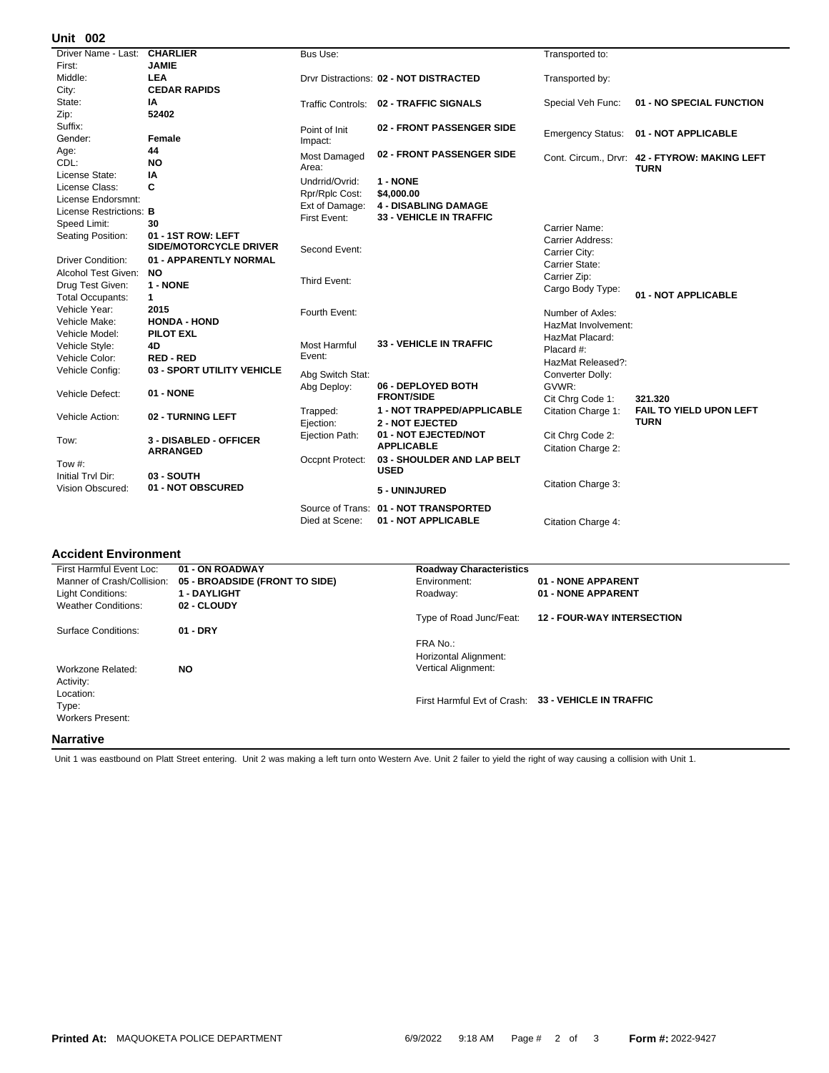## **002 Unit**

| UIIIL<br><u>vuz</u>     |                               |                     |                                        |                          |                                               |
|-------------------------|-------------------------------|---------------------|----------------------------------------|--------------------------|-----------------------------------------------|
| Driver Name - Last:     | <b>CHARLIER</b>               | <b>Bus Use:</b>     |                                        | Transported to:          |                                               |
| First:                  | <b>JAMIE</b>                  |                     |                                        |                          |                                               |
| Middle:                 | <b>LEA</b>                    |                     | Drvr Distractions: 02 - NOT DISTRACTED | Transported by:          |                                               |
| City:                   | <b>CEDAR RAPIDS</b>           |                     |                                        |                          |                                               |
| State:                  | IA                            |                     | Traffic Controls: 02 - TRAFFIC SIGNALS | Special Veh Func:        | 01 - NO SPECIAL FUNCTION                      |
| Zip:                    | 52402                         |                     |                                        |                          |                                               |
| Suffix:                 |                               | Point of Init       | 02 - FRONT PASSENGER SIDE              |                          | 01 - NOT APPLICABLE                           |
| Gender:                 | Female                        | Impact:             |                                        | <b>Emergency Status:</b> |                                               |
| Age:                    | 44                            | Most Damaged        | 02 - FRONT PASSENGER SIDE              |                          | Cont. Circum., Drvr: 42 - FTYROW: MAKING LEFT |
| CDL:                    | <b>NO</b>                     | Area:               |                                        |                          | <b>TURN</b>                                   |
| License State:          | ΙA                            | Undrrid/Ovrid:      | 1 - NONE                               |                          |                                               |
| License Class:          | C                             | Rpr/Rplc Cost:      | \$4,000.00                             |                          |                                               |
| License Endorsmnt:      |                               | Ext of Damage:      | <b>4 - DISABLING DAMAGE</b>            |                          |                                               |
| License Restrictions: B |                               | First Event:        | <b>33 - VEHICLE IN TRAFFIC</b>         |                          |                                               |
| Speed Limit:            | 30                            |                     |                                        | Carrier Name:            |                                               |
| Seating Position:       | 01 - 1ST ROW: LEFT            |                     |                                        | Carrier Address:         |                                               |
|                         | <b>SIDE/MOTORCYCLE DRIVER</b> | Second Event:       |                                        | Carrier City:            |                                               |
| Driver Condition:       | 01 - APPARENTLY NORMAL        |                     |                                        | Carrier State:           |                                               |
| Alcohol Test Given:     | <b>NO</b>                     | Third Event:        |                                        | Carrier Zip:             |                                               |
| Drug Test Given:        | 1 - NONE                      |                     |                                        | Cargo Body Type:         |                                               |
| <b>Total Occupants:</b> | $\mathbf{1}$                  |                     |                                        |                          | 01 - NOT APPLICABLE                           |
| Vehicle Year:           | 2015                          | Fourth Event:       |                                        | Number of Axles:         |                                               |
| Vehicle Make:           | <b>HONDA - HOND</b>           |                     |                                        | HazMat Involvement:      |                                               |
| Vehicle Model:          | <b>PILOT EXL</b>              |                     |                                        | HazMat Placard:          |                                               |
| Vehicle Style:          | 4D                            | <b>Most Harmful</b> | <b>33 - VEHICLE IN TRAFFIC</b>         | Placard #:               |                                               |
| Vehicle Color:          | <b>RED-RED</b>                | Event:              |                                        | HazMat Released?:        |                                               |
| Vehicle Config:         | 03 - SPORT UTILITY VEHICLE    | Abg Switch Stat:    |                                        | Converter Dolly:         |                                               |
|                         |                               | Abg Deploy:         | 06 - DEPLOYED BOTH                     | GVWR:                    |                                               |
| Vehicle Defect:         | 01 - NONE                     |                     | <b>FRONT/SIDE</b>                      | Cit Chrg Code 1:         | 321.320                                       |
|                         |                               | Trapped:            | 1 - NOT TRAPPED/APPLICABLE             | Citation Charge 1:       | <b>FAIL TO YIELD UPON LEFT</b>                |
| Vehicle Action:         | 02 - TURNING LEFT             | Ejection:           | <b>2 - NOT EJECTED</b>                 |                          | <b>TURN</b>                                   |
| Tow:                    | 3 - DISABLED - OFFICER        | Ejection Path:      | 01 - NOT EJECTED/NOT                   | Cit Chrg Code 2:         |                                               |
|                         | <b>ARRANGED</b>               |                     | <b>APPLICABLE</b>                      | Citation Charge 2:       |                                               |
| Tow #:                  |                               | Occpnt Protect:     | 03 - SHOULDER AND LAP BELT             |                          |                                               |
| Initial Trvl Dir:       | 03 - SOUTH                    |                     | <b>USED</b>                            |                          |                                               |
| Vision Obscured:        | 01 - NOT OBSCURED             |                     |                                        | Citation Charge 3:       |                                               |
|                         |                               |                     | 5 - UNINJURED                          |                          |                                               |
|                         |                               | Source of Trans:    | 01 - NOT TRANSPORTED                   |                          |                                               |
|                         |                               | Died at Scene:      | 01 - NOT APPLICABLE                    | Citation Charge 4:       |                                               |
|                         |                               |                     |                                        |                          |                                               |

## **Accident Environment**

| First Harmful Event Loc:   | 01 - ON ROADWAY                | <b>Roadway Characteristics</b> |                                                     |
|----------------------------|--------------------------------|--------------------------------|-----------------------------------------------------|
| Manner of Crash/Collision: | 05 - BROADSIDE (FRONT TO SIDE) | Environment:                   | 01 - NONE APPARENT                                  |
| Light Conditions:          | <b>1 - DAYLIGHT</b>            | Roadway:                       | 01 - NONE APPARENT                                  |
| <b>Weather Conditions:</b> | 02 - CLOUDY                    |                                |                                                     |
|                            |                                | Type of Road Junc/Feat:        | <b>12 - FOUR-WAY INTERSECTION</b>                   |
| Surface Conditions:        | $01 - DRY$                     |                                |                                                     |
|                            |                                | FRA No.:                       |                                                     |
|                            |                                | Horizontal Alignment:          |                                                     |
| Workzone Related:          | <b>NO</b>                      | Vertical Alignment:            |                                                     |
| Activity:                  |                                |                                |                                                     |
| Location:                  |                                |                                |                                                     |
| Type:                      |                                |                                | First Harmful Evt of Crash: 33 - VEHICLE IN TRAFFIC |
| <b>Workers Present:</b>    |                                |                                |                                                     |
| Narrative                  |                                |                                |                                                     |
|                            |                                |                                |                                                     |

Unit 1 was eastbound on Platt Street entering. Unit 2 was making a left turn onto Western Ave. Unit 2 failer to yield the right of way causing a collision with Unit 1.